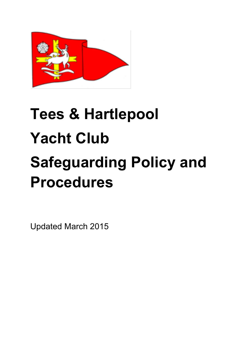

# **Tees & Hartlepool Yacht Club Safeguarding Policy and Procedures**

Updated March 2015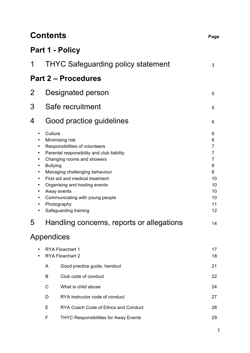# Contents Page

|                                                                                                                          |                                                                                                                                                                                                                                                                                                                                                             | <b>Part 1 - Policy</b>                    |                                                                                                                         |  |
|--------------------------------------------------------------------------------------------------------------------------|-------------------------------------------------------------------------------------------------------------------------------------------------------------------------------------------------------------------------------------------------------------------------------------------------------------------------------------------------------------|-------------------------------------------|-------------------------------------------------------------------------------------------------------------------------|--|
| 1                                                                                                                        | <b>THYC Safeguarding policy statement</b><br>3                                                                                                                                                                                                                                                                                                              |                                           |                                                                                                                         |  |
| <b>Part 2 – Procedures</b>                                                                                               |                                                                                                                                                                                                                                                                                                                                                             |                                           |                                                                                                                         |  |
| 2                                                                                                                        |                                                                                                                                                                                                                                                                                                                                                             | Designated person                         | 5                                                                                                                       |  |
| 3                                                                                                                        |                                                                                                                                                                                                                                                                                                                                                             | Safe recruitment                          | 5                                                                                                                       |  |
| 4                                                                                                                        |                                                                                                                                                                                                                                                                                                                                                             | Good practice guidelines                  | 6                                                                                                                       |  |
| $\bullet$<br>$\bullet$<br>$\bullet$<br>٠<br>٠<br>$\bullet$<br>$\bullet$<br>٠<br>$\bullet$<br>٠<br>$\bullet$<br>$\bullet$ | Culture<br>Minimising risk<br>Responsibilities of volunteers<br>Parental responsibility and club liability<br>Changing rooms and showers<br><b>Bullying</b><br>Managing challenging behaviour<br>First aid and medical treatment<br>Organising and hosting events<br>Away events<br>Communicating with young people<br>Photography<br>Safeguarding training |                                           | 6<br>6<br>$\overline{7}$<br>$\overline{7}$<br>$\overline{7}$<br>8<br>8<br>10<br>10<br>10<br>10<br>11<br>12 <sub>2</sub> |  |
| 5                                                                                                                        |                                                                                                                                                                                                                                                                                                                                                             | Handling concerns, reports or allegations | 14                                                                                                                      |  |
|                                                                                                                          | <b>Appendices</b>                                                                                                                                                                                                                                                                                                                                           |                                           |                                                                                                                         |  |
|                                                                                                                          | <b>RYA Flowchart 1</b><br><b>RYA Flowchart 2</b>                                                                                                                                                                                                                                                                                                            |                                           | 17<br>18                                                                                                                |  |
|                                                                                                                          | A                                                                                                                                                                                                                                                                                                                                                           | Good practice guide, handout              | 21                                                                                                                      |  |
|                                                                                                                          | B                                                                                                                                                                                                                                                                                                                                                           | Club code of conduct                      | 22                                                                                                                      |  |
|                                                                                                                          | C                                                                                                                                                                                                                                                                                                                                                           | What is child abuse                       | 24                                                                                                                      |  |
|                                                                                                                          | D                                                                                                                                                                                                                                                                                                                                                           | RYA Instructor code of conduct            | 27                                                                                                                      |  |
|                                                                                                                          | Е                                                                                                                                                                                                                                                                                                                                                           | RYA Coach Code of Ethics and Conduct      | 28                                                                                                                      |  |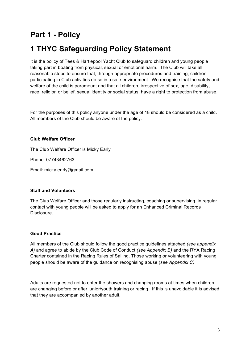# **Part 1 - Policy**

### **1 THYC Safeguarding Policy Statement**

It is the policy of Tees & Hartlepool Yacht Club to safeguard children and young people taking part in boating from physical, sexual or emotional harm. The Club will take all reasonable steps to ensure that, through appropriate procedures and training, children participating in Club activities do so in a safe environment. We recognise that the safety and welfare of the child is paramount and that all children, irrespective of sex, age, disability, race, religion or belief, sexual identity or social status, have a right to protection from abuse.

For the purposes of this policy anyone under the age of 18 should be considered as a child. All members of the Club should be aware of the policy.

#### **Club Welfare Officer**

The Club Welfare Officer is Micky Early

Phone: 07743462763

Email: micky.early@gmail.com

#### **Staff and Volunteers**

The Club Welfare Officer and those regularly instructing, coaching or supervising, in regular contact with young people will be asked to apply for an Enhanced Criminal Records Disclosure.

#### **Good Practice**

All members of the Club should follow the good practice guidelines attached *(see appendix A)* and agree to abide by the Club Code of Conduct *(see Appendix B)* and the RYA Racing Charter contained in the Racing Rules of Sailing. Those working or volunteering with young people should be aware of the guidance on recognising abuse (*see Appendix C)*.

Adults are requested not to enter the showers and changing rooms at times when children are changing before or after junior/youth training or racing. If this is unavoidable it is advised that they are accompanied by another adult.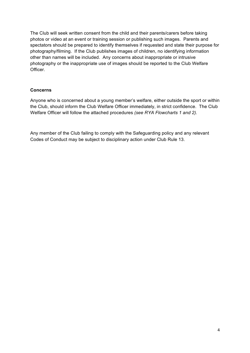The Club will seek written consent from the child and their parents/carers before taking photos or video at an event or training session or publishing such images. Parents and spectators should be prepared to identify themselves if requested and state their purpose for photography/filming. If the Club publishes images of children, no identifying information other than names will be included. Any concerns about inappropriate or intrusive photography or the inappropriate use of images should be reported to the Club Welfare Officer.

#### **Concerns**

Anyone who is concerned about a young member's welfare, either outside the sport or within the Club, should inform the Club Welfare Officer immediately, in strict confidence. The Club Welfare Officer will follow the attached procedures *(see RYA Flowcharts 1 and 2).*

Any member of the Club failing to comply with the Safeguarding policy and any relevant Codes of Conduct may be subject to disciplinary action under Club Rule 13.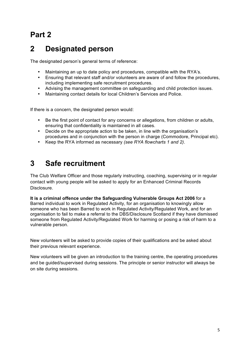# **Part 2**

### **2 Designated person**

The designated person's general terms of reference:

- Maintaining an up to date policy and procedures, compatible with the RYA's.
- Ensuring that relevant staff and/or volunteers are aware of and follow the procedures, including implementing safe recruitment procedures.
- Advising the management committee on safeguarding and child protection issues.
- Maintaining contact details for local Children's Services and Police.

If there is a concern, the designated person would:

- Be the first point of contact for any concerns or allegations, from children or adults, ensuring that confidentiality is maintained in all cases.
- Decide on the appropriate action to be taken, in line with the organisation's procedures and in conjunction with the person in charge (Commodore, Principal etc).
- Keep the RYA informed as necessary *(see RYA flowcharts 1 and 2)*.

### **3 Safe recruitment**

The Club Welfare Officer and those regularly instructing, coaching, supervising or in regular contact with young people will be asked to apply for an Enhanced Criminal Records Disclosure.

**It is a criminal offence under the Safeguarding Vulnerable Groups Act 2006** for a Barred individual to work in Regulated Activity, for an organisation to knowingly allow someone who has been Barred to work in Regulated Activity/Regulated Work, and for an organisation to fail to make a referral to the DBS/Disclosure Scotland if they have dismissed someone from Regulated Activity/Regulated Work for harming or posing a risk of harm to a vulnerable person.

New volunteers will be asked to provide copies of their qualifications and be asked about their previous relevant experience.

New volunteers will be given an introduction to the training centre, the operating procedures and be guided/supervised during sessions. The principle or senior instructor will always be on site during sessions.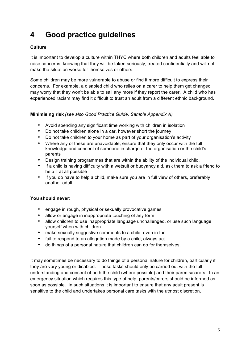# **4 Good practice guidelines**

#### **Culture**

It is important to develop a culture within THYC where both children and adults feel able to raise concerns, knowing that they will be taken seriously, treated confidentially and will not make the situation worse for themselves or others.

Some children may be more vulnerable to abuse or find it more difficult to express their concerns. For example, a disabled child who relies on a carer to help them get changed may worry that they won't be able to sail any more if they report the carer. A child who has experienced racism may find it difficult to trust an adult from a different ethnic background.

#### **Minimising risk** *(see also Good Practice Guide, Sample Appendix A)*

- Avoid spending any significant time working with children in isolation
- Do not take children alone in a car, however short the journey
- Do not take children to your home as part of your organisation's activity
- Where any of these are unavoidable, ensure that they only occur with the full knowledge and consent of someone in charge of the organisation or the child's parents
- Design training programmes that are within the ability of the individual child.
- If a child is having difficulty with a wetsuit or buoyancy aid, ask them to ask a friend to help if at all possible
- If you do have to help a child, make sure you are in full view of others, preferably another adult

#### **You should never:**

- engage in rough, physical or sexually provocative games<br>• allow or engage in inappropriate touching of any form
- allow or engage in inappropriate touching of any form
- allow children to use inappropriate language unchallenged, or use such language yourself when with children
- make sexually suggestive comments to a child, even in fun
- fail to respond to an allegation made by a child; always act
- do things of a personal nature that children can do for themselves.

It may sometimes be necessary to do things of a personal nature for children, particularly if they are very young or disabled. These tasks should only be carried out with the full understanding and consent of both the child (where possible) and their parents/carers. In an emergency situation which requires this type of help, parents/carers should be informed as soon as possible. In such situations it is important to ensure that any adult present is sensitive to the child and undertakes personal care tasks with the utmost discretion.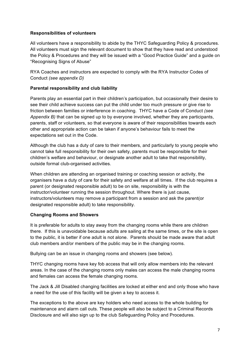#### **Responsibilities of volunteers**

All volunteers have a responsibility to abide by the THYC Safeguarding Policy & procedures. All volunteers must sign the relevant document to show that they have read and understood the Policy & Procedures and they will be issued with a "Good Practice Guide" and a guide on "Recognising Signs of Abuse"

RYA Coaches and instructors are expected to comply with the RYA Instructor Codes of Conduct *(see appendix D)*

#### **Parental responsibility and club liability**

Parents play an essential part in their children's participation, but occasionally their desire to see their child achieve success can put the child under too much pressure or give rise to friction between families or interference in coaching. THYC have a Code of Conduct *(see Appendix B)* that can be signed up to by everyone involved, whether they are participants, parents, staff or volunteers, so that everyone is aware of their responsibilities towards each other and appropriate action can be taken if anyone's behaviour fails to meet the expectations set out in the Code.

Although the club has a duty of care to their members, and particularly to young people who cannot take full responsibility for their own safety, parents must be responsible for their children's welfare and behaviour, or designate another adult to take that responsibility, outside formal club-organised activities.

When children are attending an organised training or coaching session or activity, the organisers have a duty of care for their safety and welfare at all times. If the club requires a parent (or designated responsible adult) to be on site, responsibility is with the instructor/volunteer running the session throughout. Where there is just cause, instructors/volunteers may remove a participant from a session and ask the parent(or designated responsible adult) to take responsibility.

#### **Changing Rooms and Showers**

It is preferable for adults to stay away from the changing rooms while there are children there. If this is unavoidable because adults are sailing at the same times, or the site is open to the public, it is better if one adult is not alone. Parents should be made aware that adult club members and/or members of the public may be in the changing rooms.

Bullying can be an issue in changing rooms and showers (see below).

THYC changing rooms have key fob access that will only allow members into the relevant areas. In the case of the changing rooms only males can access the male changing rooms and females can access the female changing rooms.

The Jack & Jill Disabled changing facilities are locked at either end and only those who have a need for the use of this facility will be given a key to access it.

The exceptions to the above are key holders who need access to the whole building for maintenance and alarm call outs. These people will also be subject to a Criminal Records Disclosure and will also sign up to the club Safeguarding Policy and Procedures.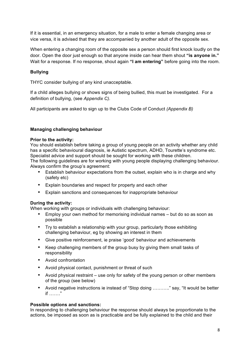If it is essential, in an emergency situation, for a male to enter a female changing area or vice versa, it is advised that they are accompanied by another adult of the opposite sex.

When entering a changing room of the opposite sex a person should first knock loudly on the door. Open the door just enough so that anyone inside can hear them shout **"is anyone in."** Wait for a response. If no response, shout again **"I am entering"** before going into the room.

#### **Bullying**

THYC consider bullying of any kind unacceptable.

If a child alleges bullying or shows signs of being bullied, this must be investigated. For a definition of bullying, (see *Appendix C).*

All participants are asked to sign up to the Clubs Code of Conduct *(Appendix B)*

#### **Managing challenging behaviour**

#### **Prior to the activity:**

You should establish before taking a group of young people on an activity whether any child has a specific behavioural diagnosis, ie Autistic spectrum, ADHD, Tourette's syndrome etc. Specialist advice and support should be sought for working with these children.

The following guidelines are for working with young people displaying challenging behaviour. Always confirm the group's agreement:

- Establish behaviour expectations from the outset, explain who is in charge and why (safety etc)
- Explain boundaries and respect for property and each other
- Explain sanctions and consequences for inappropriate behaviour

#### **During the activity:**

When working with groups or individuals with challenging behaviour:

- Employ your own method for memorising individual names but do so as soon as possible
- Try to establish a relationship with your group, particularly those exhibiting challenging behaviour, eg by showing an interest in them
- Give positive reinforcement, ie praise 'good' behaviour and achievements
- Keep challenging members of the group busy by giving them small tasks of responsibility
- Avoid confrontation
- Avoid physical contact, punishment or threat of such
- Avoid physical restraint use only for safety of the young person or other members of the group (see below)
- Avoid negative instructions ie instead of "Stop doing ……….." say, "It would be better if ……."

#### **Possible options and sanctions:**

In responding to challenging behaviour the response should always be proportionate to the actions, be imposed as soon as is practicable and be fully explained to the child and their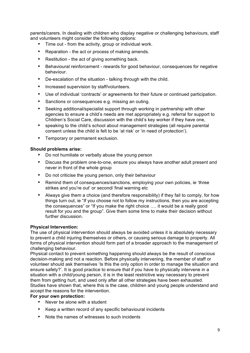parents/carers. In dealing with children who display negative or challenging behaviours, staff and volunteers might consider the following options:

- Time out from the activity, group or individual work.
- Reparation the act or process of making amends.
- Restitution the act of giving something back.
- Behavioural reinforcement rewards for good behaviour, consequences for negative behaviour.
- De-escalation of the situation talking through with the child.
- Increased supervision by staff/volunteers.
- Use of individual 'contracts' or agreements for their future or continued participation.
- Sanctions or consequences e.g. missing an outing.
- Seeking additional/specialist support through working in partnership with other agencies to ensure a child's needs are met appropriately e.g. referral for support to Children's Social Care, discussion with the child's key worker if they have one,
- speaking to the child's school about management strategies (all require parental consent unless the child is felt to be 'at risk' or 'in need of protection').
- Temporary or permanent exclusion.

#### **Should problems arise:**

- Do not humiliate or verbally abuse the young person
- Discuss the problem one-to-one, ensure you always have another adult present and never in front of the whole group
- Do not criticise the young person, only their behaviour
- Remind them of consequences/sanctions, employing your own policies, ie 'three strikes and you're out' or second/ final warning etc
- Always give them a choice (and therefore responsibility) if they fail to comply, for how things turn out, ie "If you choose not to follow my instructions, then you are accepting the consequences" or "If you make the right choice …. it would be a really good result for you and the group". Give them some time to make their decision without further discussion.

#### **Physical Intervention:**

The use of physical intervention should always be avoided unless it is absolutely necessary to prevent a child injuring themselves or others, or causing serious damage to property. All forms of physical intervention should form part of a broader approach to the management of challenging behaviour.

Physical contact to prevent something happening should always be the result of conscious decision-making and not a reaction. Before physically intervening, the member of staff or volunteer should ask themselves 'Is this the only option in order to manage the situation and ensure safety?'. It is good practice to ensure that if you have to physically intervene in a situation with a child/young person, it is in the least restrictive way necessary to prevent them from getting hurt, and used only after all other strategies have been exhausted. Studies have shown that, where this is the case, children and young people understand and accept the reasons for the intervention.

#### **For your own protection:**

- Never be alone with a student
- Keep a written record of any specific behavioural incidents
- Note the names of witnesses to such incidents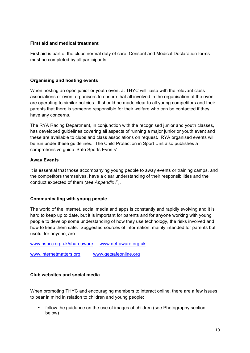#### **First aid and medical treatment**

First aid is part of the clubs normal duty of care. Consent and Medical Declaration forms must be completed by all participants.

#### **Organising and hosting events**

When hosting an open junior or youth event at THYC will liaise with the relevant class associations or event organisers to ensure that all involved in the organisation of the event are operating to similar policies. It should be made clear to all young competitors and their parents that there is someone responsible for their welfare who can be contacted if they have any concerns.

The RYA Racing Department, in conjunction with the recognised junior and youth classes, has developed guidelines covering all aspects of running a major junior or youth event and these are available to clubs and class associations on request. RYA organised events will be run under these guidelines. The Child Protection in Sport Unit also publishes a comprehensive guide 'Safe Sports Events'

#### **Away Events**

It is essential that those accompanying young people to away events or training camps, and the competitors themselves, have a clear understanding of their responsibilities and the conduct expected of them *(see Appendix F).*

#### **Communicating with young people**

The world of the internet, social media and apps is constantly and rapidly evolving and it is hard to keep up to date, but it is important for parents and for anyone working with young people to develop some understanding of how they use technology, the risks involved and how to keep them safe. Suggested sources of information, mainly intended for parents but useful for anyone, are:

www.nspcc.org.uk/shareaware www.net-aware.org.uk www.internetmatters.org www.getsafeonline.org

#### **Club websites and social media**

When promoting THYC and encouraging members to interact online, there are a few issues to bear in mind in relation to children and young people:

• follow the guidance on the use of images of children (see Photography section below)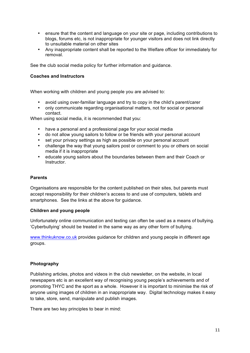- ensure that the content and language on your site or page, including contributions to blogs, forums etc, is not inappropriate for younger visitors and does not link directly to unsuitable material on other sites
- Any inappropriate content shall be reported to the Welfare officer for immediately for removal.

See the club social media policy for further information and guidance.

#### **Coaches and Instructors**

When working with children and young people you are advised to:

- avoid using over-familiar language and try to copy in the child's parent/carer
- only communicate regarding organisational matters, not for social or personal contact.

When using social media, it is recommended that you:

- have a personal and a professional page for your social media
- do not allow young sailors to follow or be friends with your personal account
- set your privacy settings as high as possible on your personal account
- challenge the way that young sailors post or comment to you or others on social media if it is inappropriate
- educate young sailors about the boundaries between them and their Coach or Instructor.

#### **Parents**

Organisations are responsible for the content published on their sites, but parents must accept responsibility for their children's access to and use of computers, tablets and smartphones. See the links at the above for quidance.

#### **Children and young people**

Unfortunately online communication and texting can often be used as a means of bullying. 'Cyberbullying' should be treated in the same way as any other form of bullying.

www.thinkuknow.co.uk provides guidance for children and young people in different age groups.

#### **Photography**

Publishing articles, photos and videos in the club newsletter, on the website, in local newspapers etc is an excellent way of recognising young people's achievements and of promoting THYC and the sport as a whole. However it is important to minimise the risk of anyone using images of children in an inappropriate way. Digital technology makes it easy to take, store, send, manipulate and publish images.

There are two key principles to bear in mind: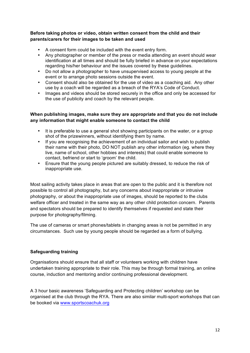#### **Before taking photos or video, obtain written consent from the child and their parents/carers for their images to be taken and used**

- A consent form could be included with the event entry form.
- Any photographer or member of the press or media attending an event should wear identification at all times and should be fully briefed in advance on your expectations regarding his/her behaviour and the issues covered by these guidelines.
- Do not allow a photographer to have unsupervised access to young people at the event or to arrange photo sessions outside the event.
- Consent should also be obtained for the use of video as a coaching aid. Any other use by a coach will be regarded as a breach of the RYA's Code of Conduct.
- Images and videos should be stored securely in the office and only be accessed for the use of publicity and coach by the relevant people.

#### **When publishing images, make sure they are appropriate and that you do not include any information that might enable someone to contact the child**

- It is preferable to use a general shot showing participants on the water, or a group shot of the prizewinners, without identifying them by name.
- If you are recognising the achievement of an individual sailor and wish to publish their name with their photo, DO NOT publish any other information (eg. where they live, name of school, other hobbies and interests) that could enable someone to contact, befriend or start to 'groom' the child.
- Ensure that the young people pictured are suitably dressed, to reduce the risk of inappropriate use.

Most sailing activity takes place in areas that are open to the public and it is therefore not possible to control all photography, but any concerns about inappropriate or intrusive photography, or about the inappropriate use of images, should be reported to the clubs welfare officer and treated in the same way as any other child protection concern. Parents and spectators should be prepared to identify themselves if requested and state their purpose for photography/filming.

The use of cameras or smart phones/tablets in changing areas is not be permitted in any circumstances. Such use by young people should be regarded as a form of bullying.

#### **Safeguarding training**

Organisations should ensure that all staff or volunteers working with children have undertaken training appropriate to their role. This may be through formal training, an online course, induction and mentoring and/or continuing professional development.

A 3 hour basic awareness 'Safeguarding and Protecting children' workshop can be organised at the club through the RYA. There are also similar multi-sport workshops that can be booked via www.sportscoachuk.org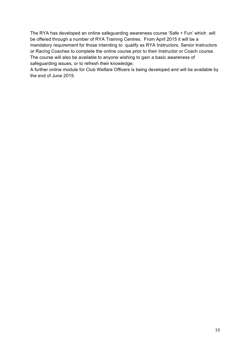The RYA has developed an online safeguarding awareness course 'Safe + Fun' which will be offered through a number of RYA Training Centres. From April 2015 it will be a mandatory requirement for those intending to qualify as RYA Instructors, Senior Instructors or Racing Coaches to complete the online course prior to their Instructor or Coach course. The course will also be available to anyone wishing to gain a basic awareness of safeguarding issues, or to refresh their knowledge.

A further online module for Club Welfare Officers is being developed and will be available by the end of June 2015.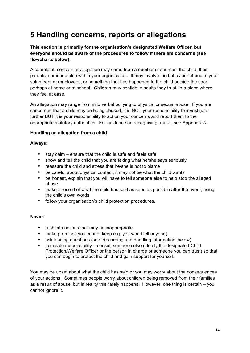### **5 Handling concerns, reports or allegations**

**This section is primarily for the organisation's designated Welfare Officer, but everyone should be aware of the procedures to follow if there are concerns (see flowcharts below).**

A complaint, concern or allegation may come from a number of sources: the child, their parents, someone else within your organisation. It may involve the behaviour of one of your volunteers or employees, or something that has happened to the child outside the sport, perhaps at home or at school. Children may confide in adults they trust, in a place where they feel at ease.

An allegation may range from mild verbal bullying to physical or sexual abuse. If you are concerned that a child may be being abused, it is NOT your responsibility to investigate further BUT it is your responsibility to act on your concerns and report them to the appropriate statutory authorities. For guidance on recognising abuse, see Appendix A.

#### **Handling an allegation from a child**

#### **Always:**

- stay calm ensure that the child is safe and feels safe
- show and tell the child that you are taking what he/she says seriously
- reassure the child and stress that he/she is not to blame
- be careful about physical contact, it may not be what the child wants
- be honest, explain that you will have to tell someone else to help stop the alleged abuse
- make a record of what the child has said as soon as possible after the event, using the child's own words
- follow your organisation's child protection procedures.

#### **Never:**

- rush into actions that may be inappropriate
- make promises you cannot keep (eg. you won't tell anyone)
- 
- ask leading questions (see 'Recording and handling information' below)<br>• take sole responsibility consult someone else (ideally the designated C • take sole responsibility – consult someone else (ideally the designated Child Protection/Welfare Officer or the person in charge or someone you can trust) so that you can begin to protect the child and gain support for yourself.

You may be upset about what the child has said or you may worry about the consequences of your actions. Sometimes people worry about children being removed from their families as a result of abuse, but in reality this rarely happens. However, one thing is certain – you cannot ignore it.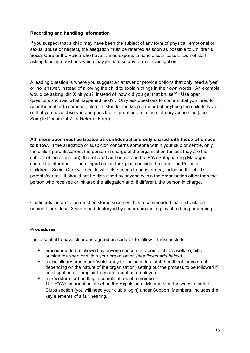#### **Recording and handling information**

If you suspect that a child may have been the subject of any form of physical, emotional or sexual abuse or neglect, the allegation must be referred as soon as possible to Children's Social Care or the Police who have trained experts to handle such cases. Do not start asking leading questions which may jeopardise any formal investigation.

A leading question is where you suggest an answer or provide options that only need a 'yes' or 'no' answer, instead of allowing the child to explain things in their own words. An example would be asking 'did X hit you?' instead of 'how did you get that bruise?'. Use open questions such as 'what happened next?'. Only ask questions to confirm that you need to refer the matter to someone else. Listen to and keep a record of anything the child tells you or that you have observed and pass the information on to the statutory authorities (see Sample Document 7 for Referral Form).

**All information must be treated as confidential and only shared with those who need to know**. If the allegation or suspicion concerns someone within your club or centre, only the child's parents/carers, the person in charge of the organisation (unless they are the subject of the allegation), the relevant authorities and the RYA Safeguarding Manager should be informed. If the alleged abuse took place outside the sport, the Police or Children's Social Care will decide who else needs to be informed, including the child's parents/carers. It should not be discussed by anyone within the organisation other than the person who received or initiated the allegation and, if different, the person in charge.

Confidential information must be stored securely. It is recommended that it should be retained for at least 3 years and destroyed by secure means, eg. by shredding or burning.

#### **Procedures**

It is essential to have clear and agreed procedures to follow. These include:

- procedures to be followed by anyone concerned about a child's welfare, either outside the sport or within your organisation *(see flowcharts below)*
- a disciplinary procedure (which may be included in a staff handbook or contract, depending on the nature of the organisation) setting out the process to be followed if an allegation or complaint is made about an employee
- a procedure for handling a complaint about a member The RYA's information sheet on the Expulsion of Members on the website in the Clubs section (you will need your club's login) under Support, Members, includes the key elements of a fair hearing.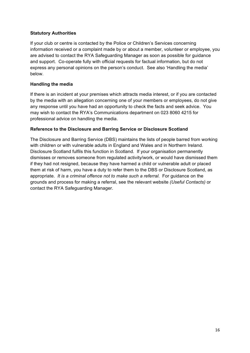#### **Statutory Authorities**

If your club or centre is contacted by the Police or Children's Services concerning information received or a complaint made by or about a member, volunteer or employee, you are advised to contact the RYA Safeguarding Manager as soon as possible for guidance and support. Co-operate fully with official requests for factual information, but do not express any personal opinions on the person's conduct. See also 'Handling the media' below.

#### **Handling the media**

If there is an incident at your premises which attracts media interest, or if you are contacted by the media with an allegation concerning one of your members or employees, do not give any response until you have had an opportunity to check the facts and seek advice. You may wish to contact the RYA's Communications department on 023 8060 4215 for professional advice on handling the media.

#### **Reference to the Disclosure and Barring Service or Disclosure Scotland**

The Disclosure and Barring Service (DBS) maintains the lists of people barred from working with children or with vulnerable adults in England and Wales and in Northern Ireland. Disclosure Scotland fulfils this function in Scotland. If your organisation permanently dismisses or removes someone from regulated activity/work, or would have dismissed them if they had not resigned, because they have harmed a child or vulnerable adult or placed them at risk of harm, you have a duty to refer them to the DBS or Disclosure Scotland, as appropriate. *It is a criminal offence not to make such a referral*. For guidance on the grounds and process for making a referral, see the relevant website *(Useful Contacts)* or contact the RYA Safeguarding Manager.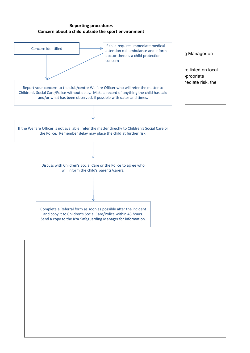#### **Reporting procedures** Concern about a child outside the sport environment

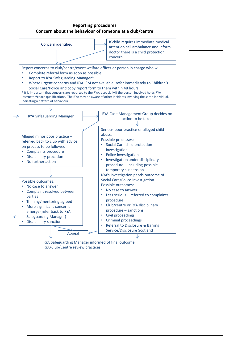#### **Reporting procedures** Concern about the behaviour of someone at a club/centre

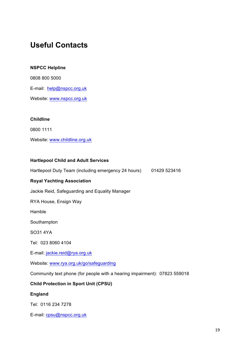### **Useful Contacts**

#### **NSPCC Helpline**

0808 800 5000 E-mail: help@nspcc.org.uk Website: www.nspcc.org.uk

#### **Childline**

0800 1111

Website: www.childline.org.uk

#### **Hartlepool Child and Adult Services**

Hartlepool Duty Team (including emergency 24 hours) 01429 523416

#### **Royal Yachting Association**

Jackie Reid, Safeguarding and Equality Manager

RYA House, Ensign Way

Hamble

Southampton

SO31 4YA

Tel: 023 8060 4104

E-mail: jackie.reid@rya.org.uk

Website: www.rya.org.uk/go/safeguarding

Community text phone (for people with a hearing impairment): 07823 559018

#### **Child Protection in Sport Unit (CPSU)**

**England**

Tel: 0116 234 7278

E-mail: cpsu@nspcc.org.uk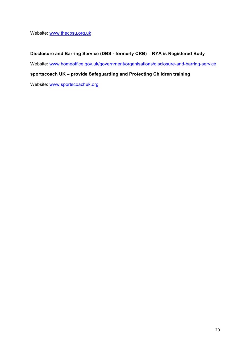Website: www.thecpsu.org.uk

#### **Disclosure and Barring Service (DBS - formerly CRB) – RYA is Registered Body**

Website: www.homeoffice.gov.uk/government/organisations/disclosure-and-barring-service

#### **sportscoach UK – provide Safeguarding and Protecting Children training**

Website: www.sportscoachuk.org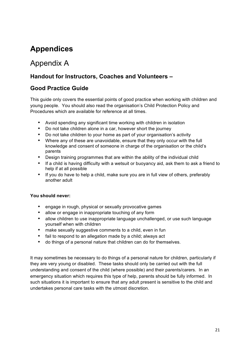# **Appendices**

### Appendix A

### **Handout for Instructors, Coaches and Volunteers –**

### **Good Practice Guide**

This guide only covers the essential points of good practice when working with children and young people. You should also read the organisation's Child Protection Policy and Procedures which are available for reference at all times.

- Avoid spending any significant time working with children in isolation
- Do not take children alone in a car, however short the journey
- Do not take children to your home as part of your organisation's activity
- Where any of these are unavoidable, ensure that they only occur with the full knowledge and consent of someone in charge of the organisation or the child's parents
- Design training programmes that are within the ability of the individual child
- If a child is having difficulty with a wetsuit or buoyancy aid, ask them to ask a friend to help if at all possible
- If you do have to help a child, make sure you are in full view of others, preferably another adult

#### **You should never:**

- engage in rough, physical or sexually provocative games
- allow or engage in inappropriate touching of any form
- allow children to use inappropriate language unchallenged, or use such language yourself when with children
- make sexually suggestive comments to a child, even in fun
- fail to respond to an allegation made by a child; always act<br>• do things of a personal nature that children can do for them
- do things of a personal nature that children can do for themselves.

It may sometimes be necessary to do things of a personal nature for children, particularly if they are very young or disabled. These tasks should only be carried out with the full understanding and consent of the child (where possible) and their parents/carers. In an emergency situation which requires this type of help, parents should be fully informed. In such situations it is important to ensure that any adult present is sensitive to the child and undertakes personal care tasks with the utmost discretion.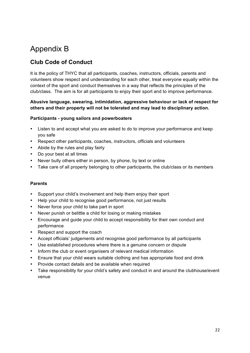## Appendix B

### **Club Code of Conduct**

It is the policy of THYC that all participants, coaches, instructors, officials, parents and volunteers show respect and understanding for each other, treat everyone equally within the context of the sport and conduct themselves in a way that reflects the principles of the club/class. The aim is for all participants to enjoy their sport and to improve performance.

#### **Abusive language, swearing, intimidation, aggressive behaviour or lack of respect for others and their property will not be tolerated and may lead to disciplinary action.**

#### **Participants - young sailors and powerboaters**

- Listen to and accept what you are asked to do to improve your performance and keep you safe
- Respect other participants, coaches, instructors, officials and volunteers
- Abide by the rules and play fairly
- Do your best at all times
- Never bully others either in person, by phone, by text or online
- Take care of all property belonging to other participants, the club/class or its members

#### **Parents**

- Support your child's involvement and help them enjoy their sport
- Help your child to recognise good performance, not just results
- Never force your child to take part in sport
- Never punish or belittle a child for losing or making mistakes
- Encourage and guide your child to accept responsibility for their own conduct and performance
- Respect and support the coach
- Accept officials' judgements and recognise good performance by all participants
- Use established procedures where there is a genuine concern or dispute
- Inform the club or event organisers of relevant medical information
- Ensure that your child wears suitable clothing and has appropriate food and drink
- Provide contact details and be available when required
- Take responsibility for your child's safety and conduct in and around the clubhouse/event venue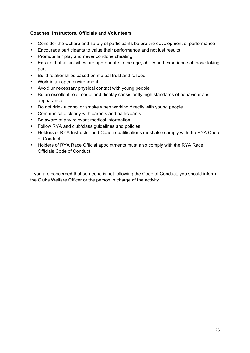#### **Coaches, Instructors, Officials and Volunteers**

- Consider the welfare and safety of participants before the development of performance
- Encourage participants to value their performance and not just results
- Promote fair play and never condone cheating
- Ensure that all activities are appropriate to the age, ability and experience of those taking part
- Build relationships based on mutual trust and respect
- Work in an open environment
- Avoid unnecessary physical contact with young people
- Be an excellent role model and display consistently high standards of behaviour and appearance
- Do not drink alcohol or smoke when working directly with young people
- Communicate clearly with parents and participants
- Be aware of any relevant medical information
- Follow RYA and club/class guidelines and policies
- Holders of RYA Instructor and Coach qualifications must also comply with the RYA Code of Conduct
- Holders of RYA Race Official appointments must also comply with the RYA Race Officials Code of Conduct.

If you are concerned that someone is not following the Code of Conduct, you should inform the Clubs Welfare Officer or the person in charge of the activity.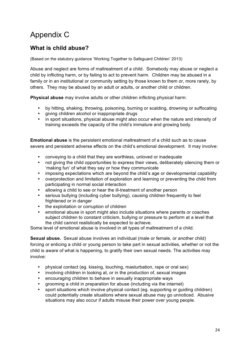# Appendix C

### **What is child abuse?**

(Based on the statutory guidance 'Working Together to Safeguard Children' 2013)

Abuse and neglect are forms of maltreatment of a child. Somebody may abuse or neglect a child by inflicting harm, or by failing to act to prevent harm. Children may be abused in a family or in an institutional or community setting by those known to them or, more rarely, by others. They may be abused by an adult or adults, or another child or children.

**Physical abuse** may involve adults or other children inflicting physical harm:

- by hitting, shaking, throwing, poisoning, burning or scalding, drowning or suffocating
- giving children alcohol or inappropriate drugs
- in sport situations, physical abuse might also occur when the nature and intensity of training exceeds the capacity of the child's immature and growing body.

**Emotional abuse** is the persistent emotional maltreatment of a child such as to cause severe and persistent adverse effects on the child's emotional development. It may involve:

- conveying to a child that they are worthless, unloved or inadequate
- not giving the child opportunities to express their views, deliberately silencing them or 'making fun' of what they say or how they communicate
- imposing expectations which are beyond the child's age or developmental capability
- overprotection and limitation of exploration and learning or preventing the child from participating in normal social interaction
- allowing a child to see or hear the ill-treatment of another person
- serious bullying (including cyber bullying), causing children frequently to feel frightened or in danger
- the exploitation or corruption of children
- emotional abuse in sport might also include situations where parents or coaches subject children to constant criticism, bullying or pressure to perform at a level that the child cannot realistically be expected to achieve.

Some level of emotional abuse is involved in all types of maltreatment of a child.

**Sexual abuse.** Sexual abuse involves an individual (male or female, or another child) forcing or enticing a child or young person to take part in sexual activities, whether or not the child is aware of what is happening, to gratify their own sexual needs. The activities may involve:

- physical contact (eg. kissing, touching, masturbation, rape or oral sex)
- involving children in looking at, or in the production of, sexual images
- encouraging children to behave in sexually inappropriate ways
- grooming a child in preparation for abuse (including via the internet)
- sport situations which involve physical contact (eg. supporting or guiding children) could potentially create situations where sexual abuse may go unnoticed. Abusive situations may also occur if adults misuse their power over young people.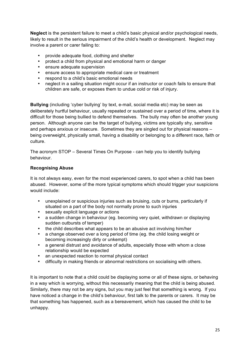**Neglect** is the persistent failure to meet a child's basic physical and/or psychological needs, likely to result in the serious impairment of the child's health or development. Neglect may involve a parent or carer failing to:

- provide adequate food, clothing and shelter
- protect a child from physical and emotional harm or danger
- ensure adequate supervision
- ensure access to appropriate medical care or treatment
- respond to a child's basic emotional needs
- neglect in a sailing situation might occur if an instructor or coach fails to ensure that children are safe, or exposes them to undue cold or risk of injury.

**Bullying** (including 'cyber bullying' by text, e-mail, social media etc) may be seen as deliberately hurtful behaviour, usually repeated or sustained over a period of time, where it is difficult for those being bullied to defend themselves. The bully may often be another young person. Although anyone can be the target of bullying, victims are typically shy, sensitive and perhaps anxious or insecure. Sometimes they are singled out for physical reasons – being overweight, physically small, having a disability or belonging to a different race, faith or culture.

The acronym STOP – Several Times On Purpose - can help you to identify bullying behaviour.

#### **Recognising Abuse**

It is not always easy, even for the most experienced carers, to spot when a child has been abused. However, some of the more typical symptoms which should trigger your suspicions would include:

- unexplained or suspicious injuries such as bruising, cuts or burns, particularly if situated on a part of the body not normally prone to such injuries
- sexually explicit language or actions
- a sudden change in behaviour (eg. becoming very quiet, withdrawn or displaying sudden outbursts of temper)
- the child describes what appears to be an abusive act involving him/her
- a change observed over a long period of time (eg. the child losing weight or becoming increasingly dirty or unkempt)
- a general distrust and avoidance of adults, especially those with whom a close relationship would be expected
- an unexpected reaction to normal physical contact
- difficulty in making friends or abnormal restrictions on socialising with others.

It is important to note that a child could be displaying some or all of these signs, or behaving in a way which is worrying, without this necessarily meaning that the child is being abused. Similarly, there may not be any signs, but you may just feel that something is wrong. If you have noticed a change in the child's behaviour, first talk to the parents or carers. It may be that something has happened, such as a bereavement, which has caused the child to be unhappy.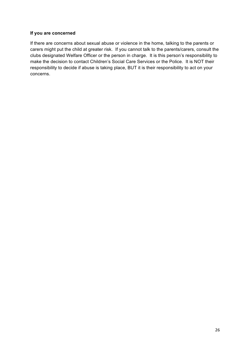#### **If you are concerned**

If there are concerns about sexual abuse or violence in the home, talking to the parents or carers might put the child at greater risk. If you cannot talk to the parents/carers, consult the clubs designated Welfare Officer or the person in charge. It is this person's responsibility to make the decision to contact Children's Social Care Services or the Police. It is NOT their responsibility to decide if abuse is taking place, BUT it is their responsibility to act on your concerns.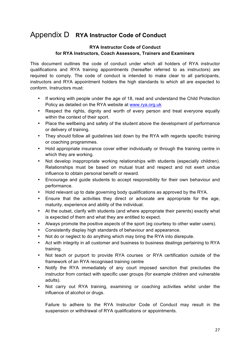### Appendix D **RYA Instructor Code of Conduct**

#### **RYA Instructor Code of Conduct for RYA Instructors, Coach Assessors, Trainers and Examiners**

This document outlines the code of conduct under which all holders of RYA instructor qualifications and RYA training appointments (hereafter referred to as instructors) are required to comply. The code of conduct is intended to make clear to all participants, instructors and RYA appointment holders the high standards to which all are expected to conform. Instructors must:

- If working with people under the age of 18, read and understand the Child Protection Policy as detailed on the RYA website at www.rya.org.uk
- Respect the rights, dignity and worth of every person and treat everyone equally within the context of their sport.
- Place the wellbeing and safety of the student above the development of performance or delivery of training.
- They should follow all guidelines laid down by the RYA with regards specific training or coaching programmes.
- Hold appropriate insurance cover either individually or through the training centre in which they are working.
- Not develop inappropriate working relationships with students (especially children). Relationships must be based on mutual trust and respect and not exert undue influence to obtain personal benefit or reward.
- Encourage and guide students to accept responsibility for their own behaviour and performance.
- Hold relevant up to date governing body qualifications as approved by the RYA.
- Ensure that the activities they direct or advocate are appropriate for the age, maturity, experience and ability of the individual.
- At the outset, clarify with students (and where appropriate their parents) exactly what is expected of them and what they are entitled to expect.
- Always promote the positive aspects of the sport (eg courtesy to other water users).
- Consistently display high standards of behaviour and appearance.
- Not do or neglect to do anything which may bring the RYA into disrepute.
- Act with integrity in all customer and business to business dealings pertaining to RYA training.
- Not teach or purport to provide RYA courses or RYA certification outside of the framework of an RYA recognised training centre
- Notify the RYA immediately of any court imposed sanction that precludes the instructor from contact with specific user groups (for example children and vulnerable adults).
- Not carry out RYA training, examining or coaching activities whilst under the influence of alcohol or drugs.

Failure to adhere to the RYA Instructor Code of Conduct may result in the suspension or withdrawal of RYA qualifications or appointments.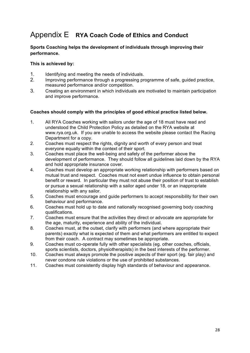### Appendix E **RYA Coach Code of Ethics and Conduct**

**Sports Coaching helps the development of individuals through improving their performance.**

#### **This is achieved by:**

- 1. Identifying and meeting the needs of individuals.
- 2. Improving performance through a progressing programme of safe, guided practice, measured performance and/or competition.
- 3. Creating an environment in which individuals are motivated to maintain participation and improve performance.

#### **Coaches should comply with the principles of good ethical practice listed below.**

- 1. All RYA Coaches working with sailors under the age of 18 must have read and understood the Child Protection Policy as detailed on the RYA website at www.rya.org.uk. If you are unable to access the website please contact the Racing Department for a copy.
- 2. Coaches must respect the rights, dignity and worth of every person and treat everyone equally within the context of their sport.
- 3. Coaches must place the well-being and safety of the performer above the development of performance. They should follow all guidelines laid down by the RYA and hold appropriate insurance cover.
- 4. Coaches must develop an appropriate working relationship with performers based on mutual trust and respect. Coaches must not exert undue influence to obtain personal benefit or reward. In particular they must not abuse their position of trust to establish or pursue a sexual relationship with a sailor aged under 18, or an inappropriate relationship with any sailor.
- 5. Coaches must encourage and guide performers to accept responsibility for their own behaviour and performance.
- 6. Coaches must hold up to date and nationally recognised governing body coaching qualifications.
- 7. Coaches must ensure that the activities they direct or advocate are appropriate for the age, maturity, experience and ability of the individual.
- 8. Coaches must, at the outset, clarify with performers (and where appropriate their parents) exactly what is expected of them and what performers are entitled to expect from their coach. A contract may sometimes be appropriate.
- 9. Coaches must co-operate fully with other specialists (eg. other coaches, officials, sports scientists, doctors, physiotherapists) in the best interests of the performer.
- 10. Coaches must always promote the positive aspects of their sport (eg. fair play) and never condone rule violations or the use of prohibited substances.
- 11. Coaches must consistently display high standards of behaviour and appearance.